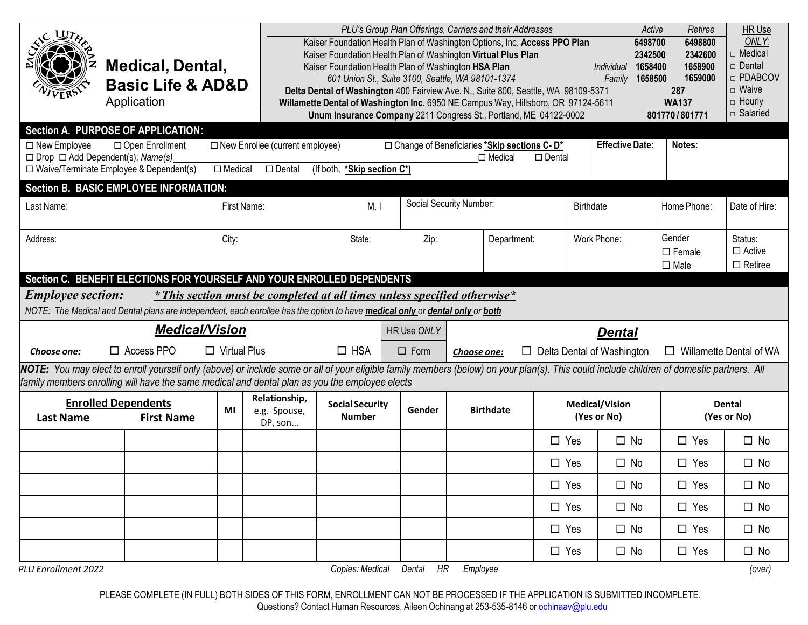| $\Box$ New Employee<br>$\Box$ Drop $\Box$ Add Dependent(s); Name(s) | Medical, Dental,<br><b>Basic Life &amp; AD&amp;D</b><br>Application<br>Section A. PURPOSE OF APPLICATION:<br>□ Open Enrollment<br>□ Waive/Terminate Employee & Dependent(s)<br>Section B. BASIC EMPLOYEE INFORMATION:                                                                       | $\Box$ Medical      | $\Box$ New Enrollee (current employee)<br>$\square$ Dental                | Kaiser Foundation Health Plan of Washington HSA Plan<br>(If both, *Skip section C*) |                | PLU's Group Plan Offerings, Carriers and their Addresses<br>Kaiser Foundation Health Plan of Washington Options, Inc. Access PPO Plan<br>Kaiser Foundation Health Plan of Washington Virtual Plus Plan<br>601 Union St., Suite 3100, Seattle, WA 98101-1374<br>Delta Dental of Washington 400 Fairview Ave. N., Suite 800, Seattle, WA 98109-5371<br>Willamette Dental of Washington Inc. 6950 NE Campus Way, Hillsboro, OR 97124-5611<br>Unum Insurance Company 2211 Congress St., Portland, ME 04122-0002<br>□ Change of Beneficiaries *Skip sections C- D*<br>$\Box$ Medical | $\Box$ Dental | Active<br>6498700<br>2342500<br>1658400<br>Individual<br>1658500<br>Family<br><b>Effective Date:</b> | Retiree<br>6498800<br>2342600<br>1658900<br>1659000<br>287<br><b>WA137</b><br>801770/801771<br>Notes: | HR Use<br>ONLY:<br>□ Medical<br>□ Dental<br>□ PDABCOV<br>$\Box$ Waive<br>$\Box$ Hourly<br>□ Salaried |
|---------------------------------------------------------------------|---------------------------------------------------------------------------------------------------------------------------------------------------------------------------------------------------------------------------------------------------------------------------------------------|---------------------|---------------------------------------------------------------------------|-------------------------------------------------------------------------------------|----------------|---------------------------------------------------------------------------------------------------------------------------------------------------------------------------------------------------------------------------------------------------------------------------------------------------------------------------------------------------------------------------------------------------------------------------------------------------------------------------------------------------------------------------------------------------------------------------------|---------------|------------------------------------------------------------------------------------------------------|-------------------------------------------------------------------------------------------------------|------------------------------------------------------------------------------------------------------|
| Last Name:                                                          |                                                                                                                                                                                                                                                                                             | First Name:         |                                                                           | M.1                                                                                 |                | Social Security Number:                                                                                                                                                                                                                                                                                                                                                                                                                                                                                                                                                         |               | Birthdate                                                                                            | Home Phone:                                                                                           | Date of Hire:                                                                                        |
| Address:                                                            |                                                                                                                                                                                                                                                                                             | City:               |                                                                           | State:                                                                              | Zip:           | Department:                                                                                                                                                                                                                                                                                                                                                                                                                                                                                                                                                                     |               | Work Phone:                                                                                          | Gender<br>$\Box$ Female<br>$\square$ Male                                                             | Status:<br>$\Box$ Active<br>$\Box$ Retiree                                                           |
| <b>Employee section:</b>                                            | Section C. BENEFIT ELECTIONS FOR YOURSELF AND YOUR ENROLLED DEPENDENTS<br>NOTE: The Medical and Dental plans are independent, each enrollee has the option to have medical only or dental only or both                                                                                      |                     | * This section must be completed at all times unless specified otherwise* |                                                                                     |                |                                                                                                                                                                                                                                                                                                                                                                                                                                                                                                                                                                                 |               |                                                                                                      |                                                                                                       |                                                                                                      |
|                                                                     | <b>Medical/Vision</b><br>HR Use ONLY<br><b>Dental</b>                                                                                                                                                                                                                                       |                     |                                                                           |                                                                                     |                |                                                                                                                                                                                                                                                                                                                                                                                                                                                                                                                                                                                 |               |                                                                                                      |                                                                                                       |                                                                                                      |
| Choose one:                                                         | $\Box$ Access PPO                                                                                                                                                                                                                                                                           | $\Box$ Virtual Plus |                                                                           | $\Box$ HSA                                                                          | $\square$ Form | Choose one:                                                                                                                                                                                                                                                                                                                                                                                                                                                                                                                                                                     |               | $\Box$ Delta Dental of Washington                                                                    | $\Box$ Willamette Dental of WA                                                                        |                                                                                                      |
|                                                                     | NOTE: You may elect to enroll yourself only (above) or include some or all of your eligible family members (below) on your plan(s). This could include children of domestic partners. All<br>family members enrolling will have the same medical and dental plan as you the employee elects |                     |                                                                           |                                                                                     |                |                                                                                                                                                                                                                                                                                                                                                                                                                                                                                                                                                                                 |               |                                                                                                      |                                                                                                       |                                                                                                      |
| <b>Last Name</b>                                                    | <b>Enrolled Dependents</b><br><b>First Name</b>                                                                                                                                                                                                                                             | MI                  | Relationship,<br>e.g. Spouse,<br>DP, son                                  | <b>Social Security</b><br><b>Number</b>                                             | Gender         | <b>Birthdate</b>                                                                                                                                                                                                                                                                                                                                                                                                                                                                                                                                                                |               | <b>Medical/Vision</b><br>(Yes or No)                                                                 |                                                                                                       | <b>Dental</b><br>(Yes or No)                                                                         |
|                                                                     |                                                                                                                                                                                                                                                                                             |                     |                                                                           |                                                                                     |                |                                                                                                                                                                                                                                                                                                                                                                                                                                                                                                                                                                                 | $\Box$ Yes    | $\Box$ No                                                                                            | $\Box$ Yes                                                                                            | $\square$ No                                                                                         |
|                                                                     |                                                                                                                                                                                                                                                                                             |                     |                                                                           |                                                                                     |                |                                                                                                                                                                                                                                                                                                                                                                                                                                                                                                                                                                                 | $\Box$ Yes    | $\square$ No                                                                                         | $\Box$ Yes                                                                                            | $\square$ No                                                                                         |
|                                                                     |                                                                                                                                                                                                                                                                                             |                     |                                                                           |                                                                                     |                |                                                                                                                                                                                                                                                                                                                                                                                                                                                                                                                                                                                 | $\square$ Yes | $\square$ No                                                                                         | $\square$ Yes                                                                                         | $\square$ No                                                                                         |
|                                                                     |                                                                                                                                                                                                                                                                                             |                     |                                                                           |                                                                                     |                |                                                                                                                                                                                                                                                                                                                                                                                                                                                                                                                                                                                 | $\square$ Yes | $\square$ No                                                                                         | $\square$ Yes                                                                                         | $\square$ No                                                                                         |
|                                                                     |                                                                                                                                                                                                                                                                                             |                     |                                                                           |                                                                                     |                |                                                                                                                                                                                                                                                                                                                                                                                                                                                                                                                                                                                 | $\square$ Yes | $\square$ No                                                                                         | $\Box$ Yes                                                                                            | $\square$ No                                                                                         |
|                                                                     |                                                                                                                                                                                                                                                                                             |                     |                                                                           |                                                                                     |                |                                                                                                                                                                                                                                                                                                                                                                                                                                                                                                                                                                                 | $\Box$ Yes    | $\square$ No                                                                                         | $\square$ Yes                                                                                         | $\square$ No                                                                                         |
| PLU Enrollment 2022                                                 |                                                                                                                                                                                                                                                                                             |                     |                                                                           | Copies: Medical                                                                     | HR<br>Dental   | Employee                                                                                                                                                                                                                                                                                                                                                                                                                                                                                                                                                                        |               |                                                                                                      |                                                                                                       | (over)                                                                                               |

PLEASE COMPLETE (IN FULL) BOTH SIDES OF THIS FORM, ENROLLMENT CAN NOT BE PROCESSED IF THE APPLICATION IS SUBMITTED INCOMPLETE.

Questions? Contact Human Resources, Aileen Ochinang at 253-535-8146 or <u>ochinaav@plu.edu</u>